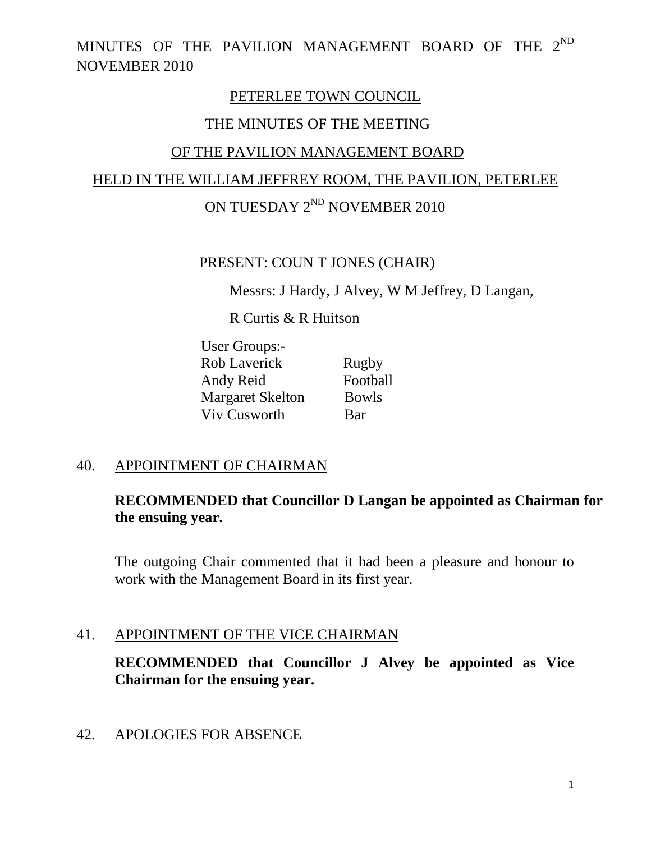### PETERLEE TOWN COUNCIL

### THE MINUTES OF THE MEETING

### OF THE PAVILION MANAGEMENT BOARD

### HELD IN THE WILLIAM JEFFREY ROOM, THE PAVILION, PETERLEE

## ON TUESDAY 2<sup>ND</sup> NOVEMBER 2010

#### PRESENT: COUN T JONES (CHAIR)

Messrs: J Hardy, J Alvey, W M Jeffrey, D Langan,

R Curtis & R Huitson

| User Groups:-           |              |
|-------------------------|--------------|
| <b>Rob Laverick</b>     | Rugby        |
| Andy Reid               | Football     |
| <b>Margaret Skelton</b> | <b>Bowls</b> |
| <b>Viv Cusworth</b>     | Bar          |

### 40. APPOINTMENT OF CHAIRMAN

### **RECOMMENDED that Councillor D Langan be appointed as Chairman for the ensuing year.**

The outgoing Chair commented that it had been a pleasure and honour to work with the Management Board in its first year.

### 41. APPOINTMENT OF THE VICE CHAIRMAN

**RECOMMENDED that Councillor J Alvey be appointed as Vice Chairman for the ensuing year.** 

### 42. APOLOGIES FOR ABSENCE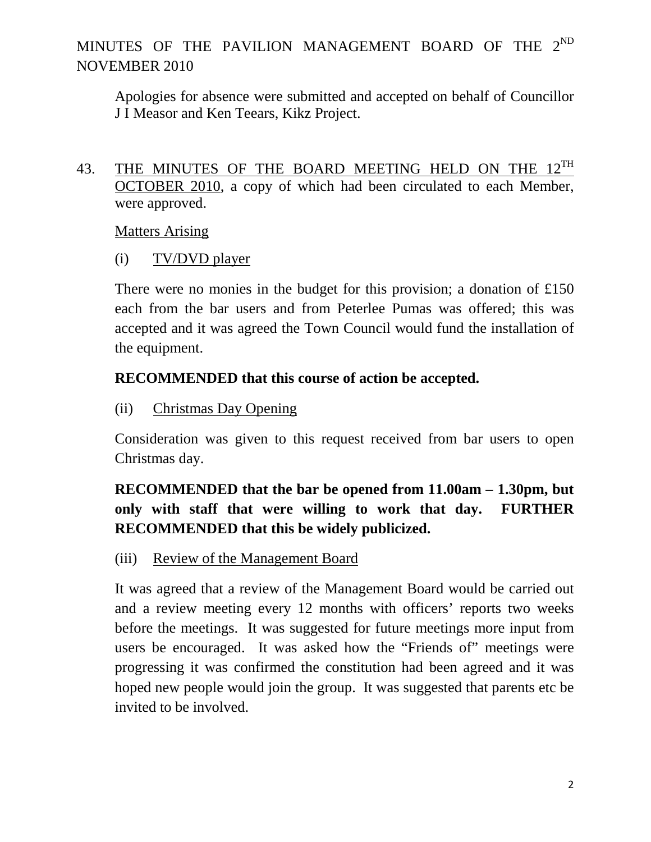Apologies for absence were submitted and accepted on behalf of Councillor J I Measor and Ken Teears, Kikz Project.

43. THE MINUTES OF THE BOARD MEETING HELD ON THE 12<sup>TH</sup> OCTOBER 2010, a copy of which had been circulated to each Member, were approved.

Matters Arising

(i) TV/DVD player

There were no monies in the budget for this provision; a donation of £150 each from the bar users and from Peterlee Pumas was offered; this was accepted and it was agreed the Town Council would fund the installation of the equipment.

## **RECOMMENDED that this course of action be accepted.**

(ii) Christmas Day Opening

Consideration was given to this request received from bar users to open Christmas day.

## **RECOMMENDED that the bar be opened from 11.00am – 1.30pm, but only with staff that were willing to work that day. FURTHER RECOMMENDED that this be widely publicized.**

(iii) Review of the Management Board

It was agreed that a review of the Management Board would be carried out and a review meeting every 12 months with officers' reports two weeks before the meetings. It was suggested for future meetings more input from users be encouraged. It was asked how the "Friends of" meetings were progressing it was confirmed the constitution had been agreed and it was hoped new people would join the group. It was suggested that parents etc be invited to be involved.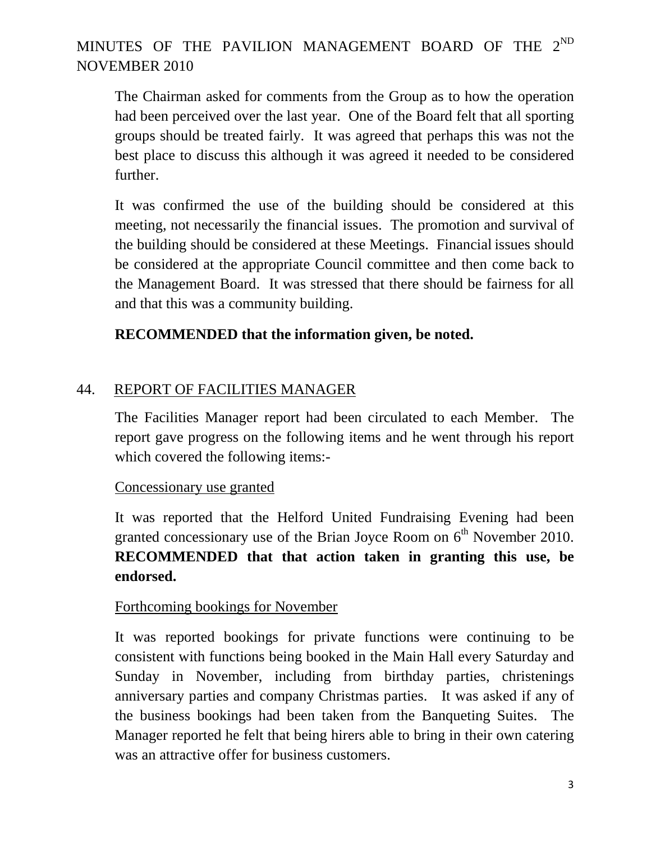The Chairman asked for comments from the Group as to how the operation had been perceived over the last year. One of the Board felt that all sporting groups should be treated fairly. It was agreed that perhaps this was not the best place to discuss this although it was agreed it needed to be considered further.

It was confirmed the use of the building should be considered at this meeting, not necessarily the financial issues. The promotion and survival of the building should be considered at these Meetings. Financial issues should be considered at the appropriate Council committee and then come back to the Management Board. It was stressed that there should be fairness for all and that this was a community building.

## **RECOMMENDED that the information given, be noted.**

## 44. REPORT OF FACILITIES MANAGER

The Facilities Manager report had been circulated to each Member. The report gave progress on the following items and he went through his report which covered the following items:-

### Concessionary use granted

It was reported that the Helford United Fundraising Evening had been granted concessionary use of the Brian Joyce Room on  $6<sup>th</sup>$  November 2010. **RECOMMENDED that that action taken in granting this use, be endorsed.**

### Forthcoming bookings for November

It was reported bookings for private functions were continuing to be consistent with functions being booked in the Main Hall every Saturday and Sunday in November, including from birthday parties, christenings anniversary parties and company Christmas parties. It was asked if any of the business bookings had been taken from the Banqueting Suites. The Manager reported he felt that being hirers able to bring in their own catering was an attractive offer for business customers.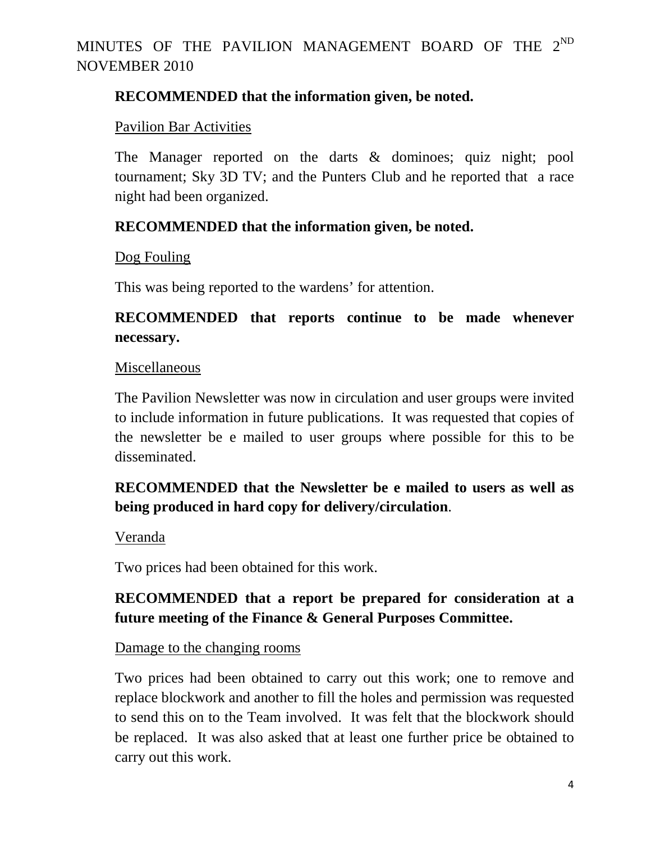## **RECOMMENDED that the information given, be noted.**

### Pavilion Bar Activities

The Manager reported on the darts & dominoes; quiz night; pool tournament; Sky 3D TV; and the Punters Club and he reported that a race night had been organized.

## **RECOMMENDED that the information given, be noted.**

Dog Fouling

This was being reported to the wardens' for attention.

## **RECOMMENDED that reports continue to be made whenever necessary.**

### Miscellaneous

The Pavilion Newsletter was now in circulation and user groups were invited to include information in future publications. It was requested that copies of the newsletter be e mailed to user groups where possible for this to be disseminated.

## **RECOMMENDED that the Newsletter be e mailed to users as well as being produced in hard copy for delivery/circulation**.

Veranda

Two prices had been obtained for this work.

## **RECOMMENDED that a report be prepared for consideration at a future meeting of the Finance & General Purposes Committee.**

### Damage to the changing rooms

Two prices had been obtained to carry out this work; one to remove and replace blockwork and another to fill the holes and permission was requested to send this on to the Team involved. It was felt that the blockwork should be replaced. It was also asked that at least one further price be obtained to carry out this work.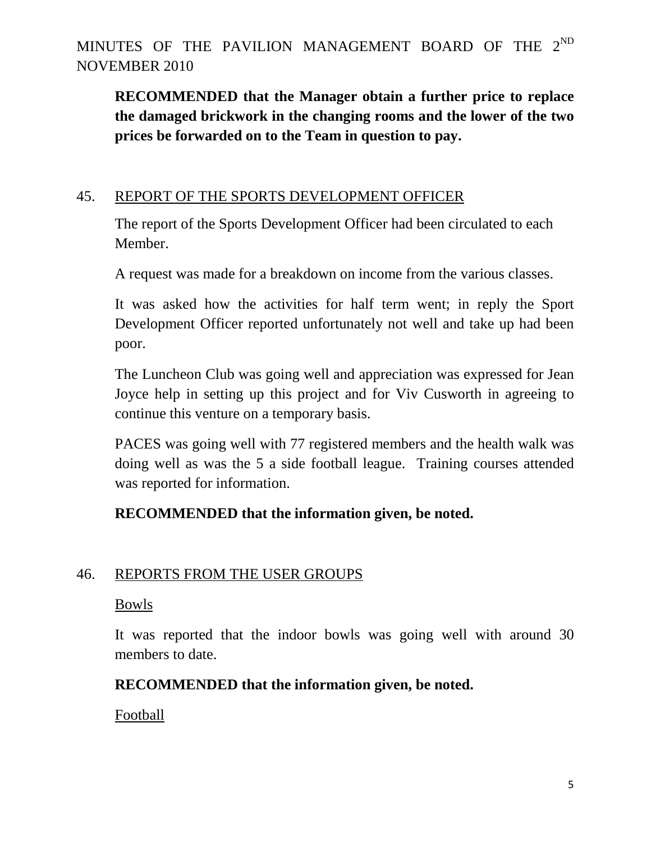**RECOMMENDED that the Manager obtain a further price to replace the damaged brickwork in the changing rooms and the lower of the two prices be forwarded on to the Team in question to pay.** 

### 45. REPORT OF THE SPORTS DEVELOPMENT OFFICER

The report of the Sports Development Officer had been circulated to each Member.

A request was made for a breakdown on income from the various classes.

It was asked how the activities for half term went; in reply the Sport Development Officer reported unfortunately not well and take up had been poor.

The Luncheon Club was going well and appreciation was expressed for Jean Joyce help in setting up this project and for Viv Cusworth in agreeing to continue this venture on a temporary basis.

PACES was going well with 77 registered members and the health walk was doing well as was the 5 a side football league. Training courses attended was reported for information.

## **RECOMMENDED that the information given, be noted.**

### 46. REPORTS FROM THE USER GROUPS

### Bowls

It was reported that the indoor bowls was going well with around 30 members to date.

## **RECOMMENDED that the information given, be noted.**

Football